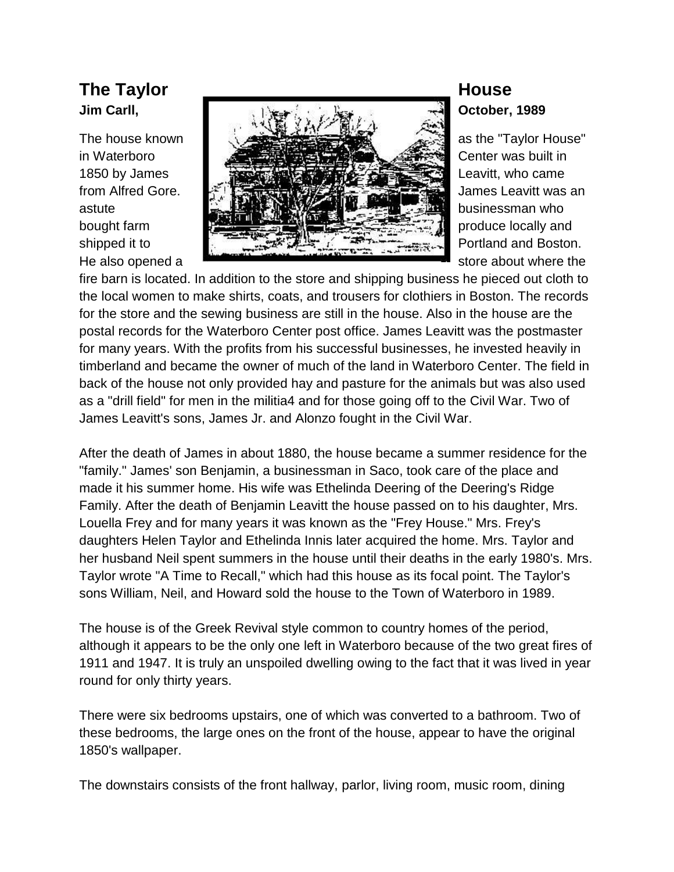

fire barn is located. In addition to the store and shipping business he pieced out cloth to the local women to make shirts, coats, and trousers for clothiers in Boston. The records for the store and the sewing business are still in the house. Also in the house are the postal records for the Waterboro Center post office. James Leavitt was the postmaster for many years. With the profits from his successful businesses, he invested heavily in timberland and became the owner of much of the land in Waterboro Center. The field in back of the house not only provided hay and pasture for the animals but was also used as a "drill field" for men in the militia4 and for those going off to the Civil War. Two of James Leavitt's sons, James Jr. and Alonzo fought in the Civil War.

After the death of James in about 1880, the house became a summer residence for the "family." James' son Benjamin, a businessman in Saco, took care of the place and made it his summer home. His wife was Ethelinda Deering of the Deering's Ridge Family. After the death of Benjamin Leavitt the house passed on to his daughter, Mrs. Louella Frey and for many years it was known as the "Frey House." Mrs. Frey's daughters Helen Taylor and Ethelinda Innis later acquired the home. Mrs. Taylor and her husband Neil spent summers in the house until their deaths in the early 1980's. Mrs. Taylor wrote "A Time to Recall," which had this house as its focal point. The Taylor's sons William, Neil, and Howard sold the house to the Town of Waterboro in 1989.

The house is of the Greek Revival style common to country homes of the period, although it appears to be the only one left in Waterboro because of the two great fires of 1911 and 1947. It is truly an unspoiled dwelling owing to the fact that it was lived in year round for only thirty years.

There were six bedrooms upstairs, one of which was converted to a bathroom. Two of these bedrooms, the large ones on the front of the house, appear to have the original 1850's wallpaper.

The downstairs consists of the front hallway, parlor, living room, music room, dining